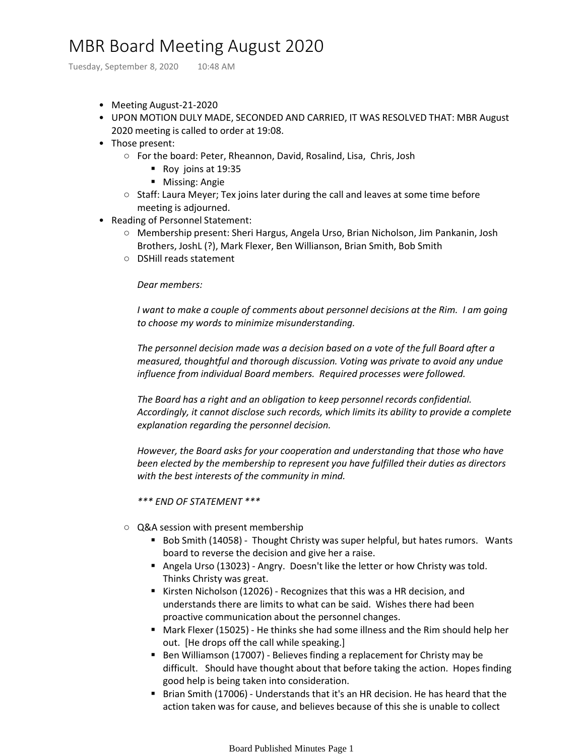## MBR Board Meeting August 2020

Tuesday, September 8, 2020 10:48 AM

- Meeting August-21-2020
- UPON MOTION DULY MADE, SECONDED AND CARRIED, IT WAS RESOLVED THAT: MBR August 2020 meeting is called to order at 19:08.
- Those present:
	- For the board: Peter, Rheannon, David, Rosalind, Lisa, Chris, Josh
		- Roy joins at 19:35
		- Missing: Angie
	- $\circ$  Staff: Laura Meyer; Tex joins later during the call and leaves at some time before meeting is adjourned.
- Reading of Personnel Statement:
	- Membership present: Sheri Hargus, Angela Urso, Brian Nicholson, Jim Pankanin, Josh Brothers, JoshL (?), Mark Flexer, Ben Willianson, Brian Smith, Bob Smith
	- DSHill reads statement

## *Dear members:*

*I want to make a couple of comments about personnel decisions at the Rim. I am going to choose my words to minimize misunderstanding.* 

*The personnel decision made was a decision based on a vote of the full Board after a measured, thoughtful and thorough discussion. Voting was private to avoid any undue influence from individual Board members. Required processes were followed.* 

*The Board has a right and an obligation to keep personnel records confidential. Accordingly, it cannot disclose such records, which limits its ability to provide a complete explanation regarding the personnel decision.* 

*However, the Board asks for your cooperation and understanding that those who have been elected by the membership to represent you have fulfilled their duties as directors with the best interests of the community in mind.*

*\*\*\* END OF STATEMENT \*\*\**

- Q&A session with present membership
	- Bob Smith (14058) Thought Christy was super helpful, but hates rumors. Wants board to reverse the decision and give her a raise.
	- Angela Urso (13023) Angry. Doesn't like the letter or how Christy was told. Thinks Christy was great.
	- Kirsten Nicholson (12026) Recognizes that this was a HR decision, and understands there are limits to what can be said. Wishes there had been proactive communication about the personnel changes.
	- Mark Flexer (15025) He thinks she had some illness and the Rim should help her out. [He drops off the call while speaking.]
	- Ben Williamson (17007) Believes finding a replacement for Christy may be difficult. Should have thought about that before taking the action. Hopes finding good help is being taken into consideration.
	- Brian Smith (17006) Understands that it's an HR decision. He has heard that the action taken was for cause, and believes because of this she is unable to collect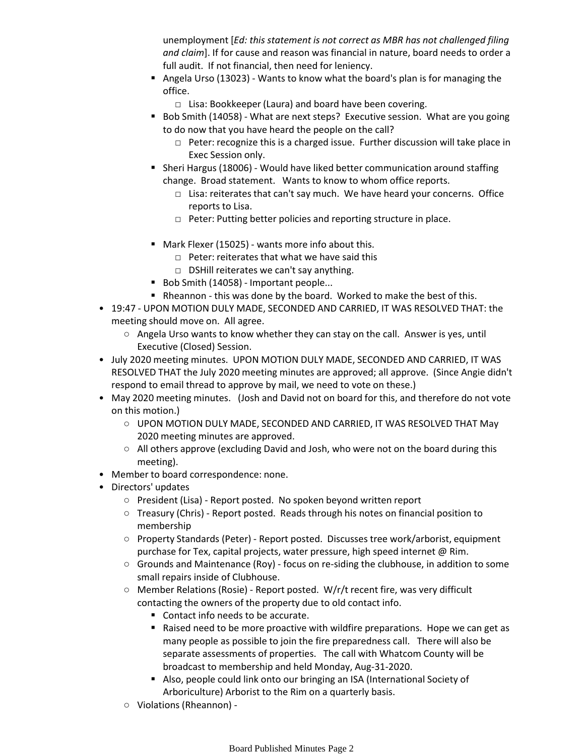unemployment [*Ed: this statement is not correct as MBR has not challenged filing and claim*]. If for cause and reason was financial in nature, board needs to order a full audit. If not financial, then need for leniency.

- Angela Urso (13023) Wants to know what the board's plan is for managing the office.
	- □ Lisa: Bookkeeper (Laura) and board have been covering.
- Bob Smith (14058) What are next steps? Executive session. What are you going to do now that you have heard the people on the call?
	- □ Peter: recognize this is a charged issue. Further discussion will take place in Exec Session only.
- Sheri Hargus (18006) Would have liked better communication around staffing change. Broad statement. Wants to know to whom office reports.
	- □ Lisa: reiterates that can't say much. We have heard your concerns. Office reports to Lisa.
	- □ Peter: Putting better policies and reporting structure in place.
- Mark Flexer (15025) wants more info about this.
	- □ Peter: reiterates that what we have said this
	- □ DSHill reiterates we can't say anything.
- Bob Smith (14058) Important people...
- Rheannon this was done by the board. Worked to make the best of this.
- 19:47 UPON MOTION DULY MADE, SECONDED AND CARRIED, IT WAS RESOLVED THAT: the meeting should move on. All agree.
	- Angela Urso wants to know whether they can stay on the call. Answer is yes, until Executive (Closed) Session.
- July 2020 meeting minutes. UPON MOTION DULY MADE, SECONDED AND CARRIED, IT WAS RESOLVED THAT the July 2020 meeting minutes are approved; all approve. (Since Angie didn't respond to email thread to approve by mail, we need to vote on these.)
- May 2020 meeting minutes. (Josh and David not on board for this, and therefore do not vote on this motion.)
	- UPON MOTION DULY MADE, SECONDED AND CARRIED, IT WAS RESOLVED THAT May 2020 meeting minutes are approved.
	- All others approve (excluding David and Josh, who were not on the board during this meeting).
- Member to board correspondence: none.
- Directors' updates
	- President (Lisa) Report posted. No spoken beyond written report
	- Treasury (Chris) Report posted. Reads through his notes on financial position to membership
	- Property Standards (Peter) Report posted. Discusses tree work/arborist, equipment purchase for Tex, capital projects, water pressure, high speed internet @ Rim.
	- Grounds and Maintenance (Roy) focus on re-siding the clubhouse, in addition to some small repairs inside of Clubhouse.
	- Member Relations (Rosie) Report posted. W/r/t recent fire, was very difficult contacting the owners of the property due to old contact info.
		- Contact info needs to be accurate.
		- Raised need to be more proactive with wildfire preparations. Hope we can get as many people as possible to join the fire preparedness call. There will also be separate assessments of properties. The call with Whatcom County will be broadcast to membership and held Monday, Aug-31-2020.
		- Also, people could link onto our bringing an ISA (International Society of Arboriculture) Arborist to the Rim on a quarterly basis.
	- Violations (Rheannon) -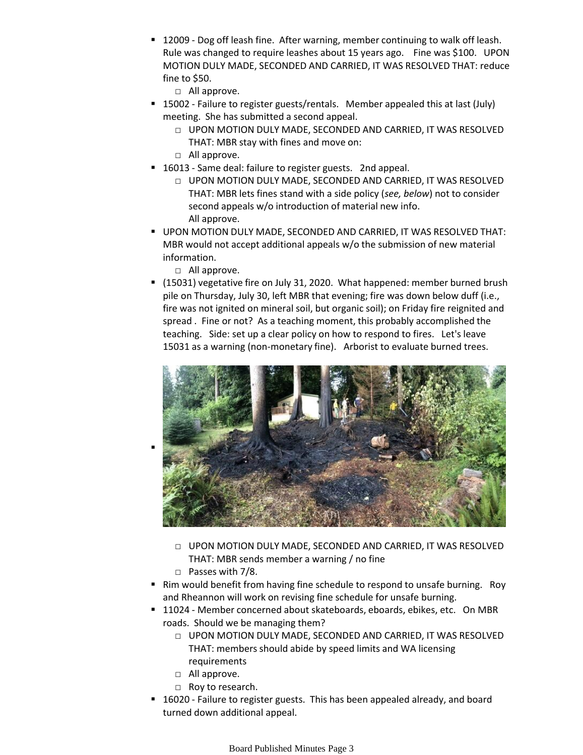■ 12009 - Dog off leash fine. After warning, member continuing to walk off leash. Rule was changed to require leashes about 15 years ago. Fine was \$100. UPON MOTION DULY MADE, SECONDED AND CARRIED, IT WAS RESOLVED THAT: reduce fine to \$50.

□ All approve.

- 15002 Failure to register guests/rentals. Member appealed this at last (July) meeting. She has submitted a second appeal.
	- □ UPON MOTION DULY MADE, SECONDED AND CARRIED, IT WAS RESOLVED THAT: MBR stay with fines and move on:
	- □ All approve.
- 16013 Same deal: failure to register guests. 2nd appeal.
	- □ UPON MOTION DULY MADE, SECONDED AND CARRIED, IT WAS RESOLVED THAT: MBR lets fines stand with a side policy (*see, below*) not to consider second appeals w/o introduction of material new info. All approve.
- **UPON MOTION DULY MADE, SECONDED AND CARRIED, IT WAS RESOLVED THAT:** MBR would not accept additional appeals w/o the submission of new material information.
	- □ All approve.
- (15031) vegetative fire on July 31, 2020. What happened: member burned brush pile on Thursday, July 30, left MBR that evening; fire was down below duff (i.e., fire was not ignited on mineral soil, but organic soil); on Friday fire reignited and spread . Fine or not? As a teaching moment, this probably accomplished the teaching. Side: set up a clear policy on how to respond to fires. Let's leave 15031 as a warning (non-monetary fine). Arborist to evaluate burned trees.



- □ UPON MOTION DULY MADE, SECONDED AND CARRIED, IT WAS RESOLVED THAT: MBR sends member a warning / no fine
- □ Passes with 7/8.
- Rim would benefit from having fine schedule to respond to unsafe burning. Roy and Rheannon will work on revising fine schedule for unsafe burning.
- 11024 Member concerned about skateboards, eboards, ebikes, etc. On MBR roads. Should we be managing them?
	- $\Box$  UPON MOTION DULY MADE, SECONDED AND CARRIED, IT WAS RESOLVED THAT: members should abide by speed limits and WA licensing requirements
	- □ All approve.
	- □ Roy to research.
- 16020 Failure to register guests. This has been appealed already, and board turned down additional appeal.